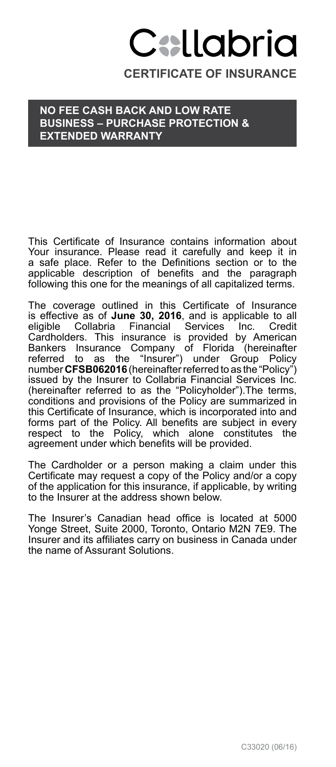# Callabria

**CERTIFICATE OF INSURANCE**

## **No Fee Cash Back and Low Rate Business – Purchase protection & Extended Warranty**

This Certificate of Insurance contains information about Your insurance. Please read it carefully and keep it in a safe place. Refer to the Definitions section or to the applicable description of benefits and the paragraph following this one for the meanings of all capitalized terms.

The coverage outlined in this Certificate of Insurance is effective as of **June 30, 2016**, and is applicable to all<br>eligible Collabria Financial Services Inc. Credit<br>Cardholders. This insurance is provided by American Bankers Insurance Company of Florida (hereinafter referred to as the "Insurer") under Group Policy number **CFSB062016** (hereinafter referred to as the "Policy") issued by the Insurer to Collabria Financial Services Inc. (hereinafter referred to as the "Policyholder").The terms, conditions and provisions of the Policy are summarized in this Certificate of Insurance, which is incorporated into and forms part of the Policy. All benefits are subject in every respect to the Policy, which alone constitutes the agreement under which benefits will be provided.

The Cardholder or a person making a claim under this Certificate may request a copy of the Policy and/or a copy of the application for this insurance, if applicable, by writing to the Insurer at the address shown below.

The Insurer's Canadian head office is located at 5000 Yonge Street, Suite 2000, Toronto, Ontario M2N 7E9. The Insurer and its affiliates carry on business in Canada under the name of Assurant Solutions.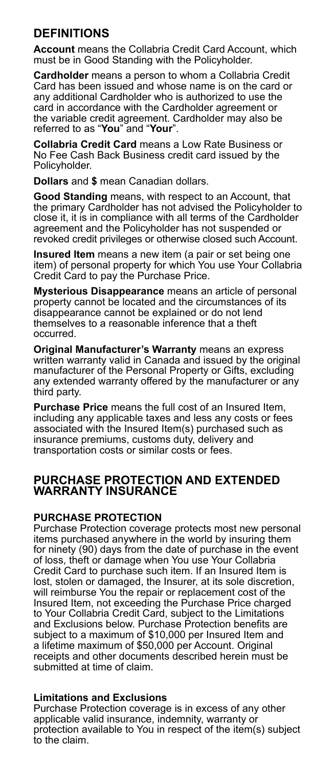# **DEFINITIONS**

**Account** means the Collabria Credit Card Account, which must be in Good Standing with the Policyholder.

**Cardholder** means a person to whom a Collabria Credit Card has been issued and whose name is on the card or any additional Cardholder who is authorized to use the card in accordance with the Cardholder agreement or the variable credit agreement. Cardholder may also be referred to as "**You**" and "**Your**".

**Collabria Credit Card** means a Low Rate Business or No Fee Cash Back Business credit card issued by the Policyholder.

**Dollars** and **\$** mean Canadian dollars.

**Good Standing** means, with respect to an Account, that the primary Cardholder has not advised the Policyholder to close it, it is in compliance with all terms of the Cardholder agreement and the Policyholder has not suspended or revoked credit privileges or otherwise closed such Account.

**Insured Item** means a new item (a pair or set being one item) of personal property for which You use Your Collabria Credit Card to pay the Purchase Price.

**Mysterious Disappearance** means an article of personal property cannot be located and the circumstances of its disappearance cannot be explained or do not lend themselves to a reasonable inference that a theft occurred.

**Original Manufacturer's Warranty** means an express written warranty valid in Canada and issued by the original manufacturer of the Personal Property or Gifts, excluding any extended warranty offered by the manufacturer or any third party.

**Purchase Price** means the full cost of an Insured Item, including any applicable taxes and less any costs or fees associated with the Insured Item(s) purchased such as insurance premiums, customs duty, delivery and transportation costs or similar costs or fees.

## **PURCHASE PROTECTION AND EXTENDED WARRANTY INSURANCE**

## **PURCHASE PROTECTION**

Purchase Protection coverage protects most new personal items purchased anywhere in the world by insuring them for ninety (90) days from the date of purchase in the event of loss, theft or damage when You use Your Collabria Credit Card to purchase such item. If an Insured Item is lost, stolen or damaged, the Insurer, at its sole discretion, will reimburse You the repair or replacement cost of the Insured Item, not exceeding the Purchase Price charged to Your Collabria Credit Card, subject to the Limitations and Exclusions below. Purchase Protection benefits are subject to a maximum of \$10,000 per Insured Item and a lifetime maximum of \$50,000 per Account. Original receipts and other documents described herein must be submitted at time of claim.

## **Limitations and Exclusions**

Purchase Protection coverage is in excess of any other applicable valid insurance, indemnity, warranty or protection available to You in respect of the item(s) subject to the claim.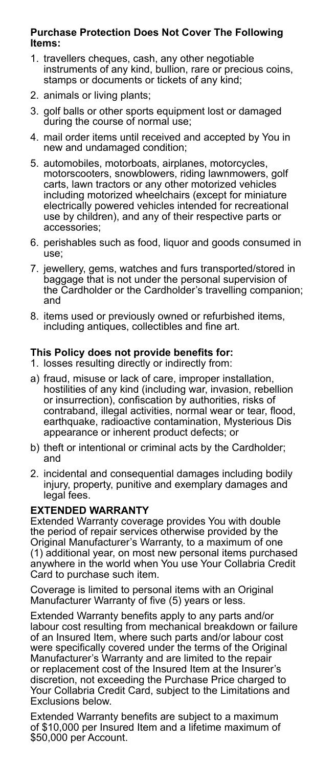## **Purchase Protection Does Not Cover The Following Items:**

- 1. travellers cheques, cash, any other negotiable instruments of any kind, bullion, rare or precious coins, stamps or documents or tickets of any kind;
- 2. animals or living plants;
- 3. golf balls or other sports equipment lost or damaged during the course of normal use;
- 4. mail order items until received and accepted by You in new and undamaged condition;
- 5. automobiles, motorboats, airplanes, motorcycles, motorscooters, snowblowers, riding lawnmowers, golf carts, lawn tractors or any other motorized vehicles including motorized wheelchairs (except for miniature electrically powered vehicles intended for recreational use by children), and any of their respective parts or accessories;
- 6. perishables such as food, liquor and goods consumed in use;
- 7. jewellery, gems, watches and furs transported/stored in baggage that is not under the personal supervision of the Cardholder or the Cardholder's travelling companion; and
- 8. items used or previously owned or refurbished items, including antiques, collectibles and fine art.

## **This Policy does not provide benefits for:**

- 1. losses resulting directly or indirectly from:
- a) fraud, misuse or lack of care, improper installation, hostilities of any kind (including war, invasion, rebellion or insurrection), confiscation by authorities, risks of contraband, illegal activities, normal wear or tear, flood, earthquake, radioactive contamination, Mysterious Dis appearance or inherent product defects; or
- b) theft or intentional or criminal acts by the Cardholder; and
- 2. incidental and consequential damages including bodily injury, property, punitive and exemplary damages and legal fees.

## **EXTENDED WARRANTY**

Extended Warranty coverage provides You with double the period of repair services otherwise provided by the Original Manufacturer's Warranty, to a maximum of one (1) additional year, on most new personal items purchased anywhere in the world when You use Your Collabria Credit Card to purchase such item.

Coverage is limited to personal items with an Original Manufacturer Warranty of five (5) years or less.

Extended Warranty benefits apply to any parts and/or labour cost resulting from mechanical breakdown or failure of an Insured Item, where such parts and/or labour cost were specifically covered under the terms of the Original Manufacturer's Warranty and are limited to the repair or replacement cost of the Insured Item at the Insurer's discretion, not exceeding the Purchase Price charged to Your Collabria Credit Card, subject to the Limitations and Exclusions below.

Extended Warranty benefits are subject to a maximum of \$10,000 per Insured Item and a lifetime maximum of \$50,000 per Account.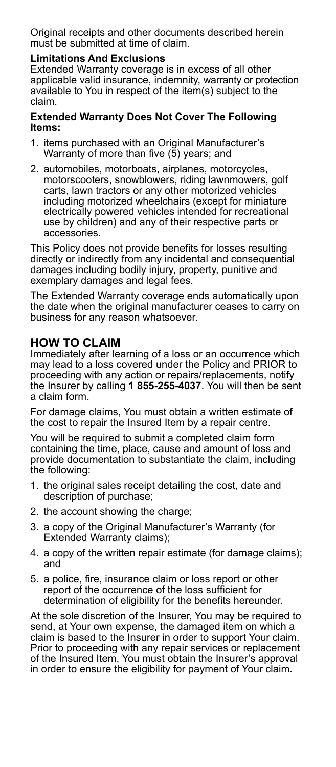Original receipts and other documents described herein must be submitted at time of claim.

## **Limitations And Exclusions**

Extended Warranty coverage is in excess of all other applicable valid insurance, indemnity, warranty or protection available to You in respect of the item(s) subject to the claim.

#### **Extended Warranty Does Not Cover The Following Items:**

- 1. items purchased with an Original Manufacturer's Warranty of more than five (5) years; and
- 2. automobiles, motorboats, airplanes, motorcycles, motorscooters, snowblowers, riding lawnmowers, golf carts, lawn tractors or any other motorized vehicles including motorized wheelchairs (except for miniature electrically powered vehicles intended for recreational use by children) and any of their respective parts or accessories.

This Policy does not provide benefits for losses resulting directly or indirectly from any incidental and consequential damages including bodily injury, property, punitive and exemplary damages and legal fees.

The Extended Warranty coverage ends automatically upon the date when the original manufacturer ceases to carry on business for any reason whatsoever.

# **HOW TO CLAIM**

Immediately after learning of a loss or an occurrence which may lead to a loss covered under the Policy and PRIOR to proceeding with any action or repairs/replacements, notify the Insurer by calling **1 855-255-4037**. You will then be sent a claim form.

For damage claims, You must obtain a written estimate of the cost to repair the Insured Item by a repair centre.

You will be required to submit a completed claim form containing the time, place, cause and amount of loss and provide documentation to substantiate the claim, including the following:

- 1. the original sales receipt detailing the cost, date and description of purchase;
- 2. the account showing the charge;
- 3. a copy of the Original Manufacturer's Warranty (for Extended Warranty claims);
- 4. a copy of the written repair estimate (for damage claims); and
- 5. a police, fire, insurance claim or loss report or other report of the occurrence of the loss sufficient for determination of eligibility for the benefits hereunder.

At the sole discretion of the Insurer, You may be required to send, at Your own expense, the damaged item on which a claim is based to the Insurer in order to support Your claim. Prior to proceeding with any repair services or replacement of the Insured Item, You must obtain the Insurer's approval in order to ensure the eligibility for payment of Your claim.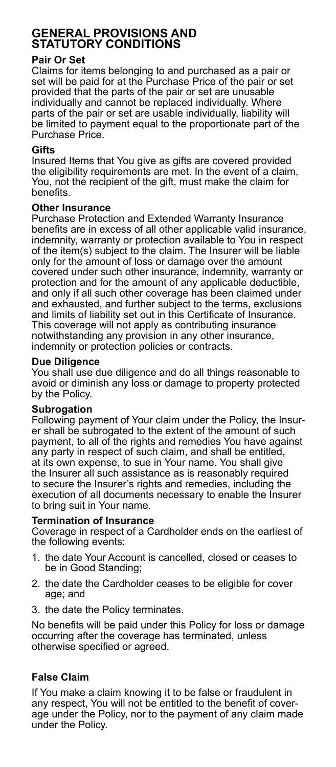# **GENERAL PROVISIONS AND STATUTORY CONDITIONS**

## **Pair Or Set**

Claims for items belonging to and purchased as a pair or set will be paid for at the Purchase Price of the pair or set provided that the parts of the pair or set are unusable individually and cannot be replaced individually. Where parts of the pair or set are usable individually, liability will be limited to payment equal to the proportionate part of the Purchase Price.

## **Gifts**

Insured Items that You give as gifts are covered provided the eligibility requirements are met. In the event of a claim, You, not the recipient of the gift, must make the claim for benefits.

### **Other Insurance**

Purchase Protection and Extended Warranty Insurance benefits are in excess of all other applicable valid insurance, indemnity, warranty or protection available to You in respect of the item(s) subject to the claim. The Insurer will be liable only for the amount of loss or damage over the amount covered under such other insurance, indemnity, warranty or protection and for the amount of any applicable deductible, and only if all such other coverage has been claimed under and exhausted, and further subject to the terms, exclusions and limits of liability set out in this Certificate of Insurance. This coverage will not apply as contributing insurance notwithstanding any provision in any other insurance, indemnity or protection policies or contracts.

### **Due Diligence**

You shall use due diligence and do all things reasonable to avoid or diminish any loss or damage to property protected by the Policy.

## **Subrogation**

Following payment of Your claim under the Policy, the Insurer shall be subrogated to the extent of the amount of such payment, to all of the rights and remedies You have against any party in respect of such claim, and shall be entitled, at its own expense, to sue in Your name. You shall give the Insurer all such assistance as is reasonably required to secure the Insurer's rights and remedies, including the execution of all documents necessary to enable the Insurer to bring suit in Your name.

#### **Termination of Insurance**

Coverage in respect of a Cardholder ends on the earliest of the following events:

- 1. the date Your Account is cancelled, closed or ceases to be in Good Standing;
- 2. the date the Cardholder ceases to be eligible for cover age; and
- 3. the date the Policy terminates.

No benefits will be paid under this Policy for loss or damage occurring after the coverage has terminated, unless otherwise specified or agreed.

## **False Claim**

If You make a claim knowing it to be false or fraudulent in any respect, You will not be entitled to the benefit of coverage under the Policy, nor to the payment of any claim made under the Policy.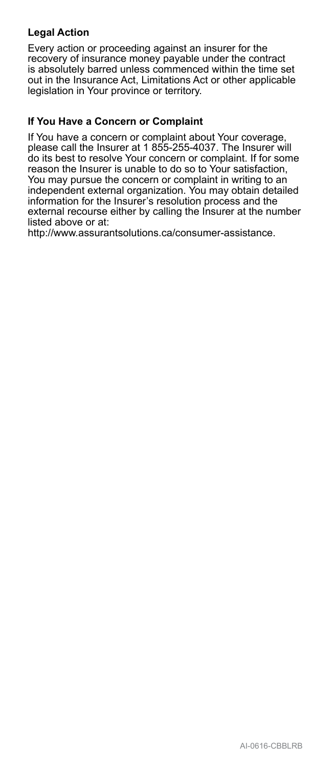# **Legal Action**

Every action or proceeding against an insurer for the recovery of insurance money payable under the contract is absolutely barred unless commenced within the time set out in the Insurance Act, Limitations Act or other applicable legislation in Your province or territory.

## **If You Have a Concern or Complaint**

If You have a concern or complaint about Your coverage, please call the Insurer at 1 855-255-4037. The Insurer will do its best to resolve Your concern or complaint. If for some reason the Insurer is unable to do so to Your satisfaction, You may pursue the concern or complaint in writing to an independent external organization. You may obtain detailed information for the Insurer's resolution process and the external recourse either by calling the Insurer at the number listed above or at:

http://www.assurantsolutions.ca/consumer-assistance.